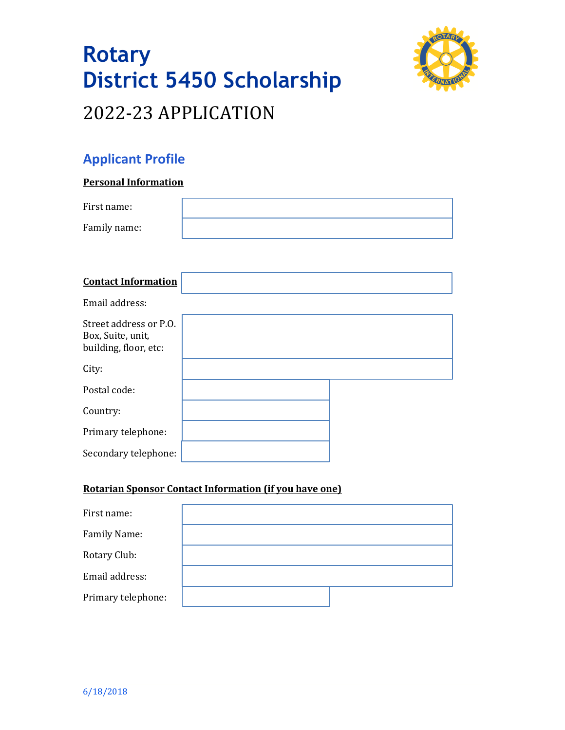



# **Applicant Profile**

#### **Personal Information**

| First name:                                                          |  |
|----------------------------------------------------------------------|--|
| Family name:                                                         |  |
|                                                                      |  |
| <b>Contact Information</b>                                           |  |
| Email address:                                                       |  |
| Street address or P.O.<br>Box, Suite, unit,<br>building, floor, etc: |  |
| City:                                                                |  |
| Postal code:                                                         |  |
| Country:                                                             |  |
| Primary telephone:                                                   |  |
| Secondary telephone:                                                 |  |

### **Rotarian Sponsor Contact Information (if you have one)**

| First name:        |  |
|--------------------|--|
| Family Name:       |  |
| Rotary Club:       |  |
| Email address:     |  |
| Primary telephone: |  |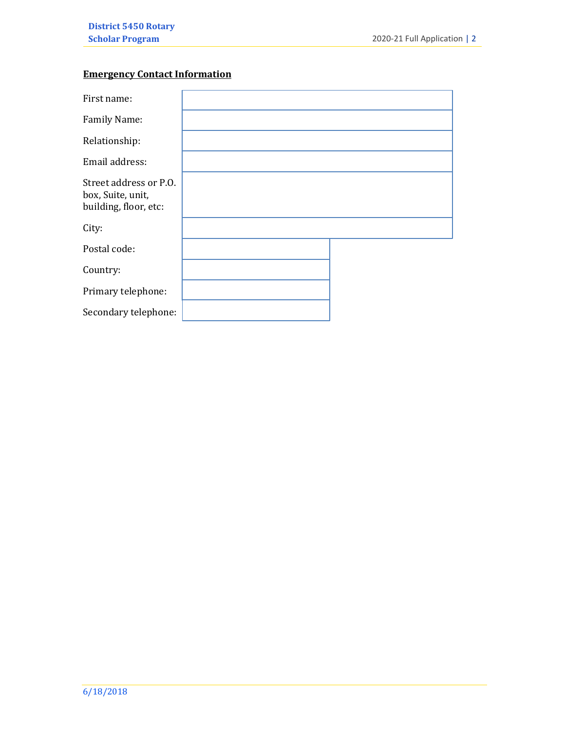### **Emergency Contact Information**

| First name:                                                          |  |
|----------------------------------------------------------------------|--|
| Family Name:                                                         |  |
| Relationship:                                                        |  |
| Email address:                                                       |  |
| Street address or P.O.<br>box, Suite, unit,<br>building, floor, etc: |  |
| City:                                                                |  |
| Postal code:                                                         |  |
| Country:                                                             |  |
| Primary telephone:                                                   |  |
| Secondary telephone:                                                 |  |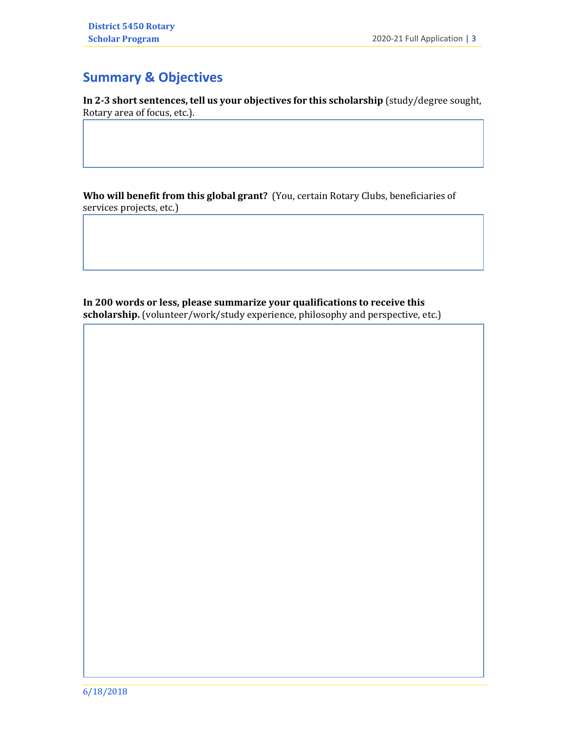# **Summary & Objectives**

**In 2-3 short sentences, tell us your objectives for this scholarship** (study/degree sought, Rotary area of focus, etc.).

**Who will benefit from this global grant?** (You, certain Rotary Clubs, beneficiaries of services projects, etc.)

**In 200 words or less, please summarize your qualifications to receive this**  scholarship. (volunteer/work/study experience, philosophy and perspective, etc.)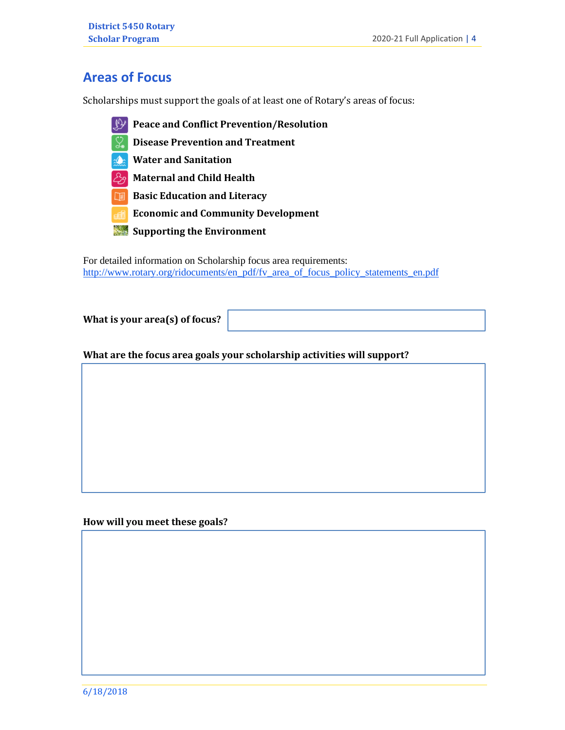## **Areas of Focus**

Scholarships must support the goals of at least one of Rotary's areas of focus:

- **Peace and Conflict Prevention/Resolution**
- **2. Disease Prevention and Treatment**
- **3. Water and Sanitation**
- **4. Maternal and Child Health**
- **<b>5. Basic Education and Literacy**
- **6. Economic and Community Development**
- **7. Supporting the Environment**

For detailed information on Scholarship focus area requirements: [http://www.rotary.org/ridocuments/en\\_pdf/fv\\_area\\_of\\_focus\\_policy\\_statements\\_en.pdf](http://www.rotary.org/ridocuments/en_pdf/fv_area_of_focus_policy_statements_en.pdf)

**What is your area(s) of focus?** 

**What are the focus area goals your scholarship activities will support?**

**How will you meet these goals?**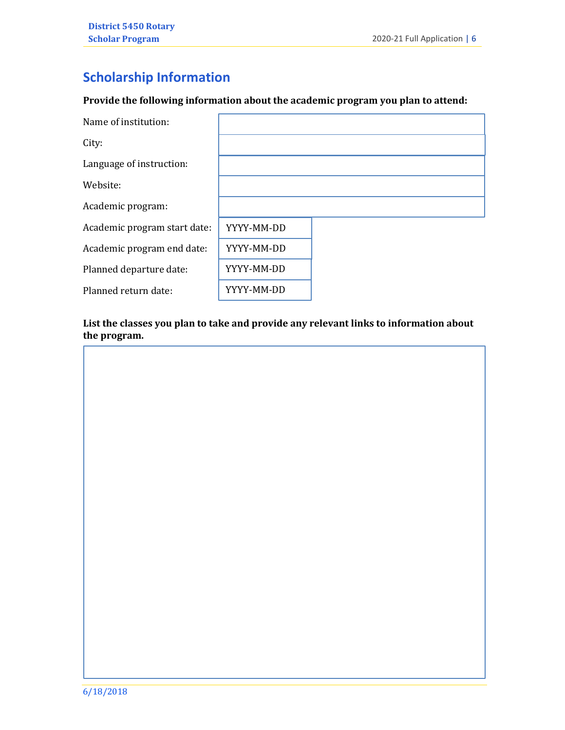# **Scholarship Information**

#### **Provide the following information about the academic program you plan to attend:**

| Name of institution:         |            |  |
|------------------------------|------------|--|
| City:                        |            |  |
| Language of instruction:     |            |  |
| Website:                     |            |  |
| Academic program:            |            |  |
| Academic program start date: | YYYY-MM-DD |  |
| Academic program end date:   | YYYY-MM-DD |  |
| Planned departure date:      | YYYY-MM-DD |  |
| Planned return date:         | YYYY-MM-DD |  |

#### **List the classes you plan to take and provide any relevant links to information about the program.**

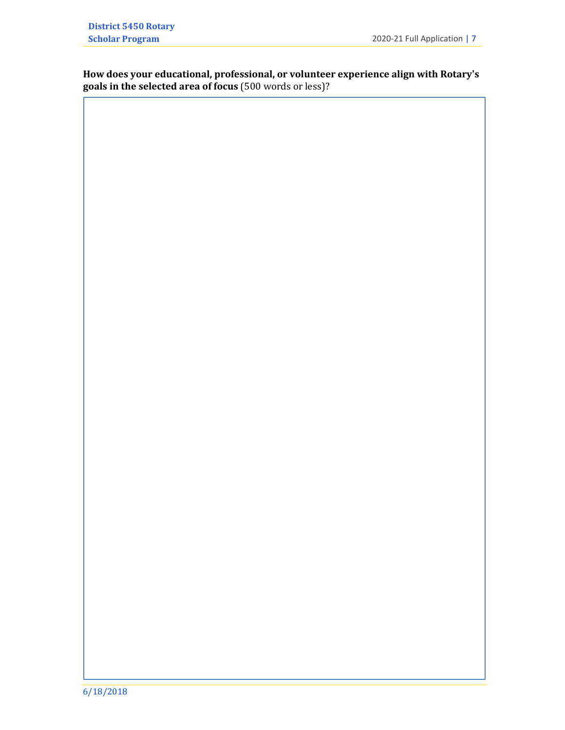**How does your educational, professional, or volunteer experience align with Rotary's goals in the selected area of focus** (500 words or less)?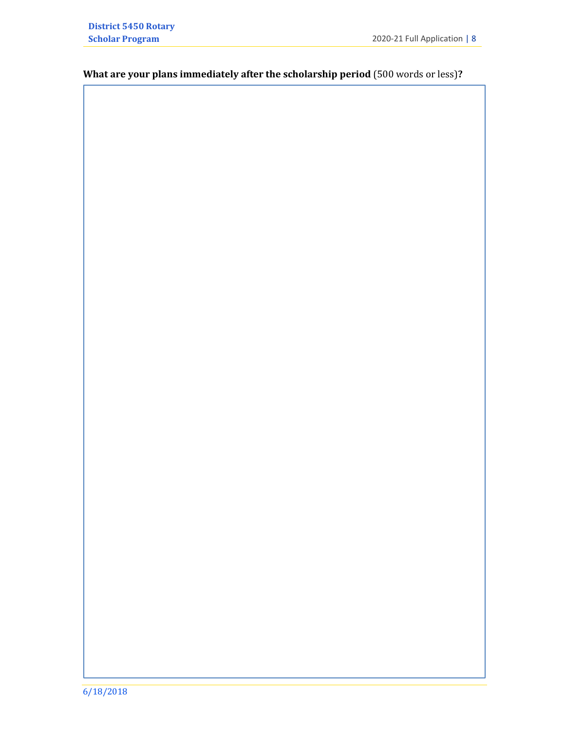## **What are your plans immediately after the scholarship period** (500 words or less)**?**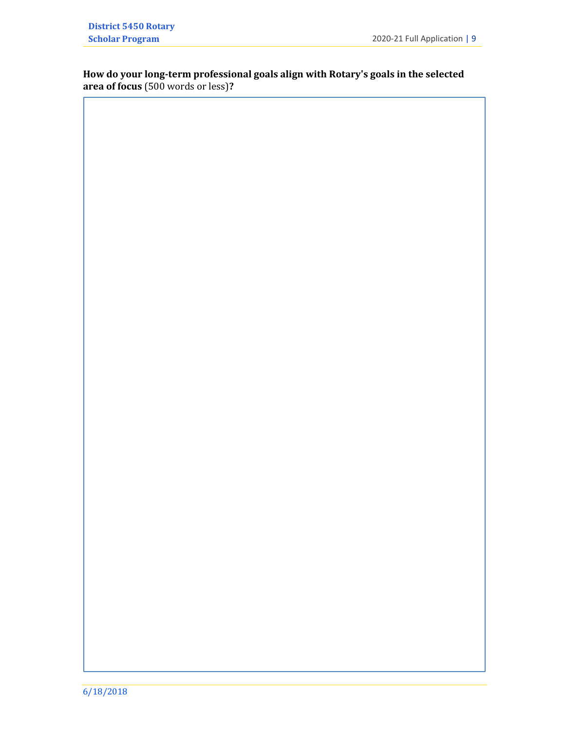#### **How do your long-term professional goals align with Rotary's goals in the selected area of focus** (500 words or less)**?**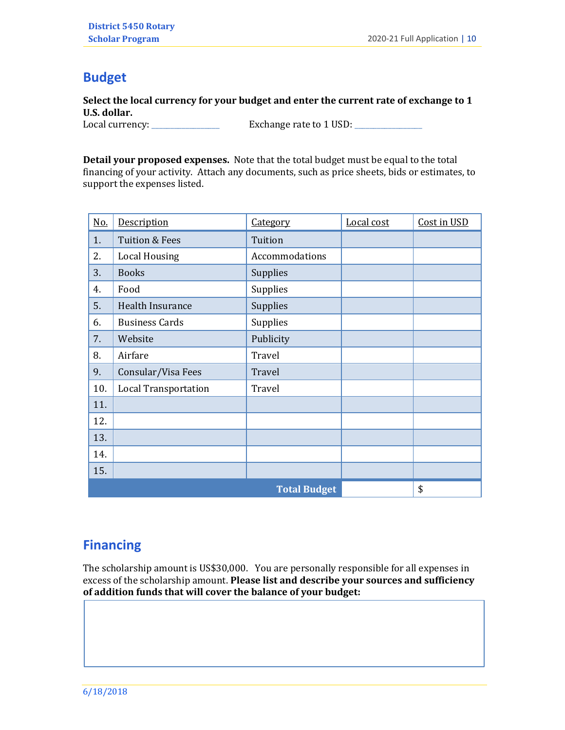## **Budget**

**Select the local currency for your budget and enter the current rate of exchange to 1 U.S. dollar.**

Local currency: \_\_\_\_\_\_\_\_\_\_\_\_\_\_\_\_\_\_ Exchange rate to 1 USD: \_\_\_\_\_\_\_\_\_\_\_\_\_\_\_\_\_\_

**Detail your proposed expenses.** Note that the total budget must be equal to the total financing of your activity. Attach any documents, such as price sheets, bids or estimates, to support the expenses listed.

| <u>No.</u>                 | Description                 | Category       | Local cost | Cost in USD |
|----------------------------|-----------------------------|----------------|------------|-------------|
| 1.                         | <b>Tuition &amp; Fees</b>   | Tuition        |            |             |
| 2.<br><b>Local Housing</b> |                             | Accommodations |            |             |
| 3.                         | <b>Books</b>                | Supplies       |            |             |
| 4.                         | Food                        | Supplies       |            |             |
| 5.                         | Health Insurance            | Supplies       |            |             |
| 6.                         | <b>Business Cards</b>       | Supplies       |            |             |
| 7.                         | Website                     | Publicity      |            |             |
| 8.                         | Airfare                     | Travel         |            |             |
| 9.                         | Consular/Visa Fees          | Travel         |            |             |
| 10.                        | <b>Local Transportation</b> | Travel         |            |             |
| 11.                        |                             |                |            |             |
| 12.                        |                             |                |            |             |
| 13.                        |                             |                |            |             |
| 14.                        |                             |                |            |             |
| 15.                        |                             |                |            |             |
| <b>Total Budget</b><br>\$  |                             |                |            |             |

### **Financing**

The scholarship amount is US\$30,000. You are personally responsible for all expenses in excess of the scholarship amount. **Please list and describe your sources and sufficiency of addition funds that will cover the balance of your budget:**